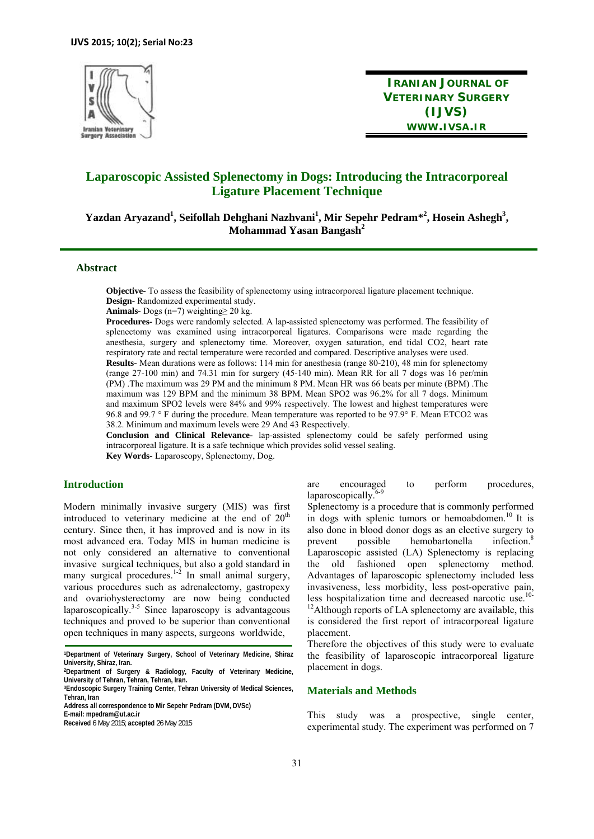

**IRANIAN JOURNAL OF VETERINARY SURGERY (IJVS) WWW.IVSA.IR**

# **Laparoscopic Assisted Splenectomy in Dogs: Introducing the Intracorporeal Ligature Placement Technique**

Yazdan Aryazand<sup>1</sup>, Seifollah Dehghani Nazhvani<sup>1</sup>, Mir Sepehr Pedram\*<sup>2</sup>, Hosein Ashegh<sup>3</sup>, **Mohammad Yasan Bangash<sup>2</sup>**

## **Abstract**

**Objective-** To assess the feasibility of splenectomy using intracorporeal ligature placement technique. **Design-** Randomized experimental study.

**Animals-** Dogs (n=7) weighting≥ 20 kg.

**Procedures-** Dogs were randomly selected. A lap-assisted splenectomy was performed. The feasibility of splenectomy was examined using intracorporeal ligatures. Comparisons were made regarding the anesthesia, surgery and splenectomy time. Moreover, oxygen saturation, end tidal CO2, heart rate respiratory rate and rectal temperature were recorded and compared. Descriptive analyses were used. **Results-** Mean durations were as follows: 114 min for anesthesia (range 80-210), 48 min for splenectomy

(range 27-100 min) and 74.31 min for surgery (45-140 min). Mean RR for all 7 dogs was 16 per/min (PM) .The maximum was 29 PM and the minimum 8 PM. Mean HR was 66 beats per minute (BPM) .The maximum was 129 BPM and the minimum 38 BPM. Mean SPO2 was 96.2% for all 7 dogs. Minimum and maximum SPO2 levels were 84% and 99% respectively. The lowest and highest temperatures were 96.8 and 99.7 ° F during the procedure. Mean temperature was reported to be 97.9° F. Mean ETCO2 was 38.2. Minimum and maximum levels were 29 And 43 Respectively.

**Conclusion and Clinical Relevance-** lap-assisted splenectomy could be safely performed using intracorporeal ligature. It is a safe technique which provides solid vessel sealing. **Key Words-** Laparoscopy, Splenectomy, Dog.

## **Introduction**

ľ

Modern minimally invasive surgery (MIS) was first introduced to veterinary medicine at the end of  $20<sup>th</sup>$ century. Since then, it has improved and is now in its most advanced era. Today MIS in human medicine is not only considered an alternative to conventional invasive surgical techniques, but also a gold standard in many surgical procedures.<sup>1-2</sup> In small animal surgery, various procedures such as adrenalectomy, gastropexy and ovariohysterectomy are now being conducted  $\frac{1}{2}$  laparoscopically.<sup>3-5</sup> Since laparoscopy is advantageous techniques and proved to be superior than conventional open techniques in many aspects, surgeons worldwide,

**1Department of Veterinary Surgery, School of Veterinary Medicine, Shiraz University, Shiraz, Iran.** 

are encouraged to perform procedures,  $lanaroscopically.$ <sup>6-9</sup>

Splenectomy is a procedure that is commonly performed in dogs with splenic tumors or hemoabdomen.<sup>10</sup> It is also done in blood donor dogs as an elective surgery to prevent possible hemobartonella infection.<sup>8</sup> Laparoscopic assisted (LA) Splenectomy is replacing the old fashioned open splenectomy method. Advantages of laparoscopic splenectomy included less invasiveness, less morbidity, less post-operative pain, less hospitalization time and decreased narcotic use.<sup>10-10-10</sup>  $12$ Although reports of LA splenectomy are available, this is considered the first report of intracorporeal ligature placement.

Therefore the objectives of this study were to evaluate the feasibility of laparoscopic intracorporeal ligature placement in dogs.

## **Materials and Methods**

This study was a prospective, single center, experimental study. The experiment was performed on 7

**<sup>2</sup>Department of Surgery & Radiology, Faculty of Veterinary Medicine, University of Tehran, Tehran, Tehran, Iran.** 

**<sup>3</sup>Endoscopic Surgery Training Center, Tehran University of Medical Sciences, Tehran, Iran**

**Address all correspondence to Mir Sepehr Pedram (DVM, DVSc)** 

**E-mail: mpedram@ut.ac.ir** 

**Received** 6 May 2015; **accepted** 26 May 2015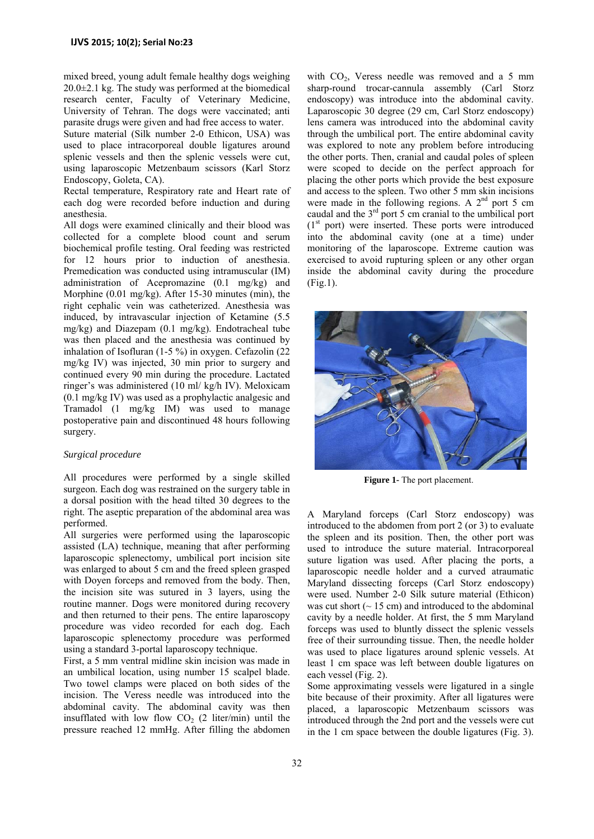mixed breed, young adult female healthy dogs weighing  $20.0\pm2.1$  kg. The study was performed at the biomedical research center, Faculty of Veterinary Medicine, University of Tehran. The dogs were vaccinated; anti parasite drugs were given and had free access to water.

Suture material (Silk number 2-0 Ethicon, USA) was used to place intracorporeal double ligatures around splenic vessels and then the splenic vessels were cut, using laparoscopic Metzenbaum scissors (Karl Storz Endoscopy, Goleta, CA).

Rectal temperature, Respiratory rate and Heart rate of each dog were recorded before induction and during anesthesia.

All dogs were examined clinically and their blood was collected for a complete blood count and serum biochemical profile testing. Oral feeding was restricted for 12 hours prior to induction of anesthesia. Premedication was conducted using intramuscular (IM) administration of Acepromazine (0.1 mg/kg) and Morphine (0.01 mg/kg). After 15-30 minutes (min), the right cephalic vein was catheterized. Anesthesia was induced, by intravascular injection of Ketamine (5.5 mg/kg) and Diazepam (0.1 mg/kg). Endotracheal tube was then placed and the anesthesia was continued by inhalation of Isofluran (1-5 %) in oxygen. Cefazolin (22 mg/kg IV) was injected, 30 min prior to surgery and continued every 90 min during the procedure. Lactated ringer's was administered (10 ml/ kg/h IV). Meloxicam (0.1 mg/kg IV) was used as a prophylactic analgesic and Tramadol (1 mg/kg IM) was used to manage postoperative pain and discontinued 48 hours following surgery.

#### *Surgical procedure*

All procedures were performed by a single skilled surgeon. Each dog was restrained on the surgery table in a dorsal position with the head tilted 30 degrees to the right. The aseptic preparation of the abdominal area was performed.

All surgeries were performed using the laparoscopic assisted (LA) technique, meaning that after performing laparoscopic splenectomy, umbilical port incision site was enlarged to about 5 cm and the freed spleen grasped with Doyen forceps and removed from the body. Then, the incision site was sutured in 3 layers, using the routine manner. Dogs were monitored during recovery and then returned to their pens. The entire laparoscopy procedure was video recorded for each dog. Each laparoscopic splenectomy procedure was performed using a standard 3-portal laparoscopy technique.

First, a 5 mm ventral midline skin incision was made in an umbilical location, using number 15 scalpel blade. Two towel clamps were placed on both sides of the incision. The Veress needle was introduced into the abdominal cavity. The abdominal cavity was then insufflated with low flow  $CO<sub>2</sub>$  (2 liter/min) until the pressure reached 12 mmHg. After filling the abdomen

with  $CO<sub>2</sub>$ , Veress needle was removed and a 5 mm sharp-round trocar-cannula assembly (Carl Storz endoscopy) was introduce into the abdominal cavity. Laparoscopic 30 degree (29 cm, Carl Storz endoscopy) lens camera was introduced into the abdominal cavity through the umbilical port. The entire abdominal cavity was explored to note any problem before introducing the other ports. Then, cranial and caudal poles of spleen were scoped to decide on the perfect approach for placing the other ports which provide the best exposure and access to the spleen. Two other 5 mm skin incisions were made in the following regions. A  $2<sup>nd</sup>$  port 5 cm caudal and the 3rd port 5 cm cranial to the umbilical port  $(1<sup>st</sup>$  port) were inserted. These ports were introduced into the abdominal cavity (one at a time) under monitoring of the laparoscope. Extreme caution was exercised to avoid rupturing spleen or any other organ inside the abdominal cavity during the procedure (Fig.1).



**Figure 1-** The port placement.

A Maryland forceps (Carl Storz endoscopy) was introduced to the abdomen from port 2 (or 3) to evaluate the spleen and its position. Then, the other port was used to introduce the suture material. Intracorporeal suture ligation was used. After placing the ports, a laparoscopic needle holder and a curved atraumatic Maryland dissecting forceps (Carl Storz endoscopy) were used. Number 2-0 Silk suture material (Ethicon) was cut short  $($   $\sim$  15 cm) and introduced to the abdominal cavity by a needle holder. At first, the 5 mm Maryland forceps was used to bluntly dissect the splenic vessels free of their surrounding tissue. Then, the needle holder was used to place ligatures around splenic vessels. At least 1 cm space was left between double ligatures on each vessel (Fig. 2).

Some approximating vessels were ligatured in a single bite because of their proximity. After all ligatures were placed, a laparoscopic Metzenbaum scissors was introduced through the 2nd port and the vessels were cut in the 1 cm space between the double ligatures (Fig. 3).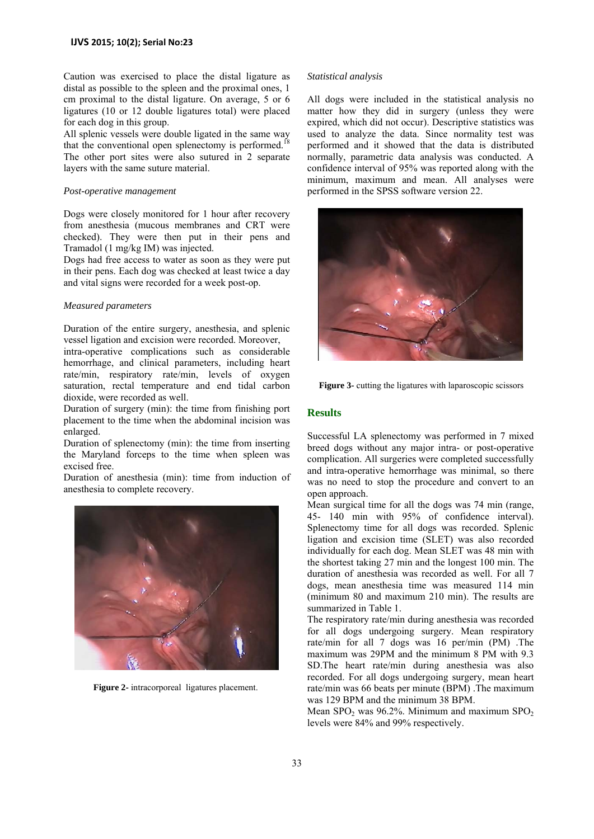Caution was exercised to place the distal ligature as distal as possible to the spleen and the proximal ones, 1 cm proximal to the distal ligature. On average, 5 or 6 ligatures (10 or 12 double ligatures total) were placed for each dog in this group.

All splenic vessels were double ligated in the same way that the conventional open splenectomy is performed.<sup>18</sup> The other port sites were also sutured in 2 separate layers with the same suture material.

## *Post-operative management*

Dogs were closely monitored for 1 hour after recovery from anesthesia (mucous membranes and CRT were checked). They were then put in their pens and Tramadol (1 mg/kg IM) was injected.

Dogs had free access to water as soon as they were put in their pens. Each dog was checked at least twice a day and vital signs were recorded for a week post-op.

#### *Measured parameters*

Duration of the entire surgery, anesthesia, and splenic vessel ligation and excision were recorded. Moreover,

intra-operative complications such as considerable hemorrhage, and clinical parameters, including heart rate/min, respiratory rate/min, levels of oxygen saturation, rectal temperature and end tidal carbon dioxide, were recorded as well.

Duration of surgery (min): the time from finishing port placement to the time when the abdominal incision was enlarged.

Duration of splenectomy (min): the time from inserting the Maryland forceps to the time when spleen was excised free.

Duration of anesthesia (min): time from induction of anesthesia to complete recovery.



**Figure 2-** intracorporeal ligatures placement.

#### *Statistical analysis*

All dogs were included in the statistical analysis no matter how they did in surgery (unless they were expired, which did not occur). Descriptive statistics was used to analyze the data. Since normality test was performed and it showed that the data is distributed normally, parametric data analysis was conducted. A confidence interval of 95% was reported along with the minimum, maximum and mean. All analyses were performed in the SPSS software version 22.



**Figure 3-** cutting the ligatures with laparoscopic scissors

## **Results**

Successful LA splenectomy was performed in 7 mixed breed dogs without any major intra- or post-operative complication. All surgeries were completed successfully and intra-operative hemorrhage was minimal, so there was no need to stop the procedure and convert to an open approach.

Mean surgical time for all the dogs was 74 min (range, 45- 140 min with 95% of confidence interval). Splenectomy time for all dogs was recorded. Splenic ligation and excision time (SLET) was also recorded individually for each dog. Mean SLET was 48 min with the shortest taking 27 min and the longest 100 min. The duration of anesthesia was recorded as well. For all 7 dogs, mean anesthesia time was measured 114 min (minimum 80 and maximum 210 min). The results are summarized in Table 1.

The respiratory rate/min during anesthesia was recorded for all dogs undergoing surgery. Mean respiratory rate/min for all 7 dogs was 16 per/min (PM) .The maximum was 29PM and the minimum 8 PM with 9.3 SD.The heart rate/min during anesthesia was also recorded. For all dogs undergoing surgery, mean heart rate/min was 66 beats per minute (BPM) .The maximum was 129 BPM and the minimum 38 BPM.

Mean  $\text{SPO}_2$  was 96.2%. Minimum and maximum  $\text{SPO}_2$ levels were 84% and 99% respectively.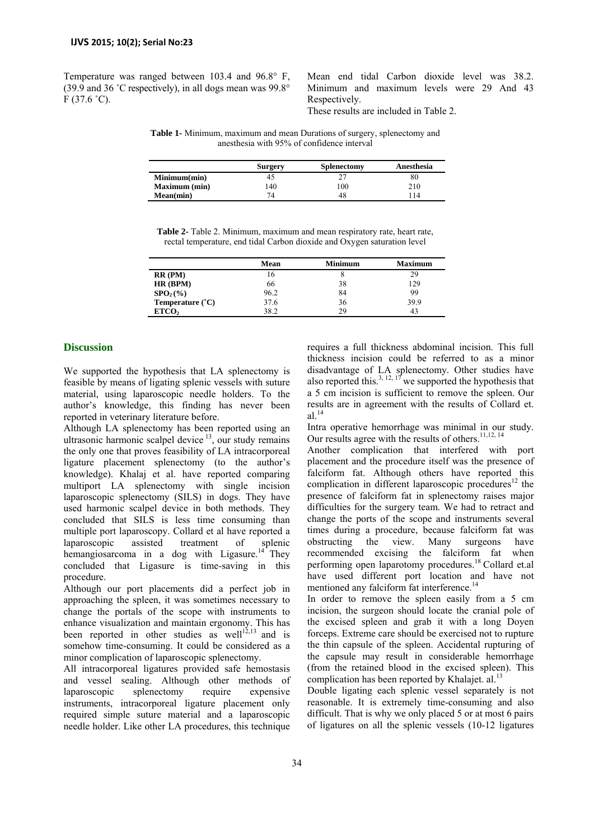Temperature was ranged between 103.4 and 96.8° F, (39.9 and 36 ˚C respectively), in all dogs mean was 99.8°  $F$  (37.6 °C).

Mean end tidal Carbon dioxide level was 38.2. Minimum and maximum levels were 29 And 43 Respectively.

These results are included in Table 2.

**Table 1-** Minimum, maximum and mean Durations of surgery, splenectomy and anesthesia with 95% of confidence interval

|                      | <b>Surgery</b> | Splenectomy | Anesthesia |
|----------------------|----------------|-------------|------------|
| Minimum(min)         | 40             |             | 80         |
| <b>Maximum</b> (min) | 140            | 100         | 210        |
| Mean(min)            | 74             | 48          | 14         |

**Table 2-** Table 2. Minimum, maximum and mean respiratory rate, heart rate, rectal temperature, end tidal Carbon dioxide and Oxygen saturation level

|                          | Mean | <b>Minimum</b> | <b>Maximum</b> |
|--------------------------|------|----------------|----------------|
| $RR$ ( $PM$ )            | 16   |                | 29             |
| HR(BPM)                  | 66   | 38             | 129            |
| $SPO2(\%)$               | 96.2 | 84             | 99             |
| <b>Temperature</b> $(C)$ | 37.6 | 36             | 39.9           |
| ETCO <sub>2</sub>        | 38.2 | 29             | 43             |

## **Discussion**

We supported the hypothesis that LA splenectomy is feasible by means of ligating splenic vessels with suture material, using laparoscopic needle holders. To the author's knowledge, this finding has never been reported in veterinary literature before.

Although LA splenectomy has been reported using an ultrasonic harmonic scalpel device  $13$ , our study remains the only one that proves feasibility of LA intracorporeal ligature placement splenectomy (to the author's knowledge). Khalaj et al. have reported comparing multiport LA splenectomy with single incision laparoscopic splenectomy (SILS) in dogs. They have used harmonic scalpel device in both methods. They concluded that SILS is less time consuming than multiple port laparoscopy. Collard et al have reported a laparoscopic assisted treatment of splenic hemangiosarcoma in a dog with Ligasure.<sup>14</sup> They concluded that Ligasure is time-saving in this procedure.

Although our port placements did a perfect job in approaching the spleen, it was sometimes necessary to change the portals of the scope with instruments to enhance visualization and maintain ergonomy. This has been reported in other studies as well<sup>12,13</sup> and is somehow time-consuming. It could be considered as a minor complication of laparoscopic splenectomy.

All intracorporeal ligatures provided safe hemostasis and vessel sealing. Although other methods of laparoscopic splenectomy require expensive instruments, intracorporeal ligature placement only required simple suture material and a laparoscopic needle holder. Like other LA procedures, this technique requires a full thickness abdominal incision. This full thickness incision could be referred to as a minor disadvantage of LA splenectomy. Other studies have also reported this.<sup>3, 12, 17</sup> we supported the hypothesis that a 5 cm incision is sufficient to remove the spleen. Our results are in agreement with the results of Collard et.  $al.$ <sup>14</sup>

Intra operative hemorrhage was minimal in our study. Our results agree with the results of others.<sup>11,12, 14</sup>

Another complication that interfered with port placement and the procedure itself was the presence of falciform fat. Although others have reported this complication in different laparoscopic procedures<sup>12</sup> the presence of falciform fat in splenectomy raises major difficulties for the surgery team. We had to retract and change the ports of the scope and instruments several times during a procedure, because falciform fat was obstructing the view. Many surgeons have recommended excising the falciform fat when performing open laparotomy procedures.18 Collard et.al have used different port location and have not mentioned any falciform fat interference.<sup>1</sup>

In order to remove the spleen easily from a 5 cm incision, the surgeon should locate the cranial pole of the excised spleen and grab it with a long Doyen forceps. Extreme care should be exercised not to rupture the thin capsule of the spleen. Accidental rupturing of the capsule may result in considerable hemorrhage (from the retained blood in the excised spleen). This complication has been reported by Khalajet. al.<sup>13</sup>

Double ligating each splenic vessel separately is not reasonable. It is extremely time-consuming and also difficult. That is why we only placed 5 or at most 6 pairs of ligatures on all the splenic vessels (10-12 ligatures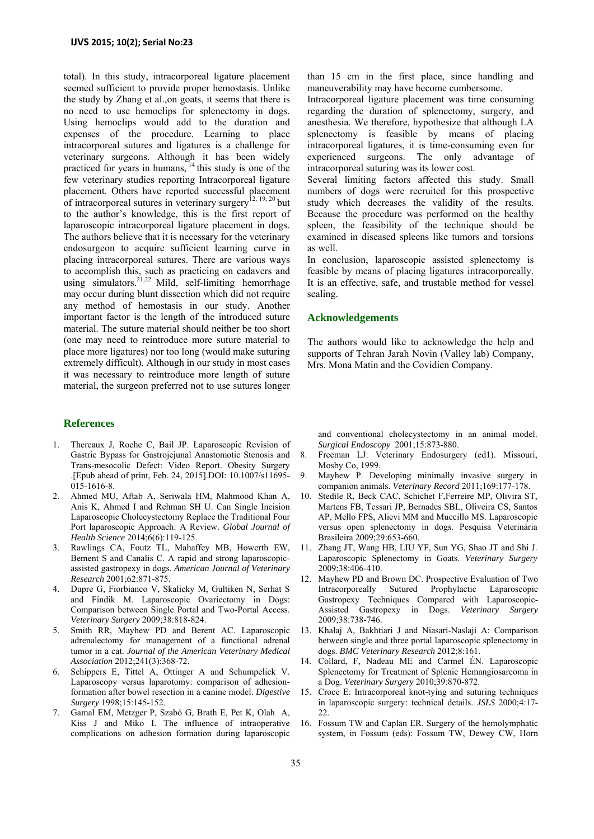total). In this study, intracorporeal ligature placement seemed sufficient to provide proper hemostasis. Unlike the study by Zhang et al.,on goats, it seems that there is no need to use hemoclips for splenectomy in dogs. Using hemoclips would add to the duration and expenses of the procedure. Learning to place intracorporeal sutures and ligatures is a challenge for veterinary surgeons. Although it has been widely practiced for years in humans, <sup>14</sup> this study is one of the few veterinary studies reporting Intracorporeal ligature placement. Others have reported successful placement of intracorporeal sutures in veterinary surgery<sup>12, 19, 20</sup> but to the author's knowledge, this is the first report of laparoscopic intracorporeal ligature placement in dogs. The authors believe that it is necessary for the veterinary endosurgeon to acquire sufficient learning curve in placing intracorporeal sutures. There are various ways to accomplish this, such as practicing on cadavers and using simulators.<sup>21,22</sup> Mild, self-limiting hemorrhage may occur during blunt dissection which did not require any method of hemostasis in our study. Another important factor is the length of the introduced suture material. The suture material should neither be too short (one may need to reintroduce more suture material to place more ligatures) nor too long (would make suturing extremely difficult). Although in our study in most cases it was necessary to reintroduce more length of suture material, the surgeon preferred not to use sutures longer

## **References**

- 1. Thereaux J, Roche C, Bail JP. Laparoscopic Revision of Gastric Bypass for Gastrojejunal Anastomotic Stenosis and Trans-mesocolic Defect: Video Report. Obesity Surgery .[Epub ahead of print, Feb. 24, 2015].DOI: 10.1007/s11695- 015-1616-8.
- 2. Ahmed MU, Aftab A, Seriwala HM, Mahmood Khan A, Anis K, Ahmed I and Rehman SH U. Can Single Incision Laparoscopic Cholecystectomy Replace the Traditional Four Port laparoscopic Approach: A Review. *Global Journal of Health Science* 2014;6(6):119-125.
- 3. Rawlings CA, Foutz TL, Mahaffey MB, Howerth EW, Bement S and Canalis C. A rapid and strong laparoscopicassisted gastropexy in dogs. *American Journal of Veterinary Research* 2001;62:871-875.
- 4. Dupre G, Fiorbianco V, Skalicky M, Gultiken N, Serhat S and Findik M. Laparoscopic Ovariectomy in Dogs: Comparison between Single Portal and Two-Portal Access. *Veterinary Surgery* 2009;38:818-824.
- 5. Smith RR, Mayhew PD and Berent AC. Laparoscopic adrenalectomy for management of a functional adrenal tumor in a cat. *Journal of the American Veterinary Medical Association* 2012;241(3):368-72.
- 6. Schippers E, Tittel A, Ottinger A and Schumpelick V. Laparoscopy versus laparotomy: comparison of adhesionformation after bowel resection in a canine model. *Digestive Surgery* 1998;15:145-152.
- 7. Gamal EM, Metzger P, Szabó G, Brath E, Pet K, Olah A, Kiss J and Miko I. The influence of intraoperative complications on adhesion formation during laparoscopic

than 15 cm in the first place, since handling and maneuverability may have become cumbersome.

Intracorporeal ligature placement was time consuming regarding the duration of splenectomy, surgery, and anesthesia. We therefore, hypothesize that although LA splenectomy is feasible by means of placing intracorporeal ligatures, it is time-consuming even for experienced surgeons. The only advantage intracorporeal suturing was its lower cost.

Several limiting factors affected this study. Small numbers of dogs were recruited for this prospective study which decreases the validity of the results. Because the procedure was performed on the healthy spleen, the feasibility of the technique should be examined in diseased spleens like tumors and torsions as well.

In conclusion, laparoscopic assisted splenectomy is feasible by means of placing ligatures intracorporeally. It is an effective, safe, and trustable method for vessel sealing.

#### **Acknowledgements**

The authors would like to acknowledge the help and supports of Tehran Jarah Novin (Valley lab) Company, Mrs. Mona Matin and the Covidien Company.

and conventional cholecystectomy in an animal model. *Surgical Endoscopy* 2001;15:873-880.

- 8. Freeman LJ: Veterinary Endosurgery (ed1). Missouri, Mosby Co, 1999.
- 9. Mayhew P. Developing minimally invasive surgery in companion animals. *Veterinary Record* 2011;169:177-178.
- 10. Stedile R, Beck CAC, Schichet F,Ferreire MP, Olivira ST, Martens FB, Tessari JP, Bernades SBL, Oliveira CS, Santos AP, Mello FPS, Alievi MM and Muccillo MS. Laparoscopic versus open splenectomy in dogs. Pesquisa Veterinária Brasileira 2009;29:653-660.
- 11. Zhang JT, Wang HB, LIU YF, Sun YG, Shao JT and Shi J. Laparoscopic Splenectomy in Goats. *Veterinary Surgery*  2009;38:406-410.
- 12. Mayhew PD and Brown DC. Prospective Evaluation of Two Intracorporeally Sutured Prophylactic Laparoscopic Gastropexy Techniques Compared with Laparoscopic-Assisted Gastropexy in Dogs. *Veterinary Surgery* 2009;38:738-746.
- 13. Khalaj A, Bakhtiari J and Niasari-Naslaji A: Comparison between single and three portal laparoscopic splenectomy in dogs. *BMC Veterinary Research* 2012;8:161.
- 14. Collard, F, Nadeau ME and Carmel ÉN. Laparoscopic Splenectomy for Treatment of Splenic Hemangiosarcoma in a Dog. *Veterinary Surgery* 2010;39:870-872.
- 15. Croce E: Intracorporeal knot-tying and suturing techniques in laparoscopic surgery: technical details. *JSLS* 2000;4:17- 22.
- 16. Fossum TW and Caplan ER. Surgery of the hemolymphatic system, in Fossum (eds): Fossum TW, Dewey CW, Horn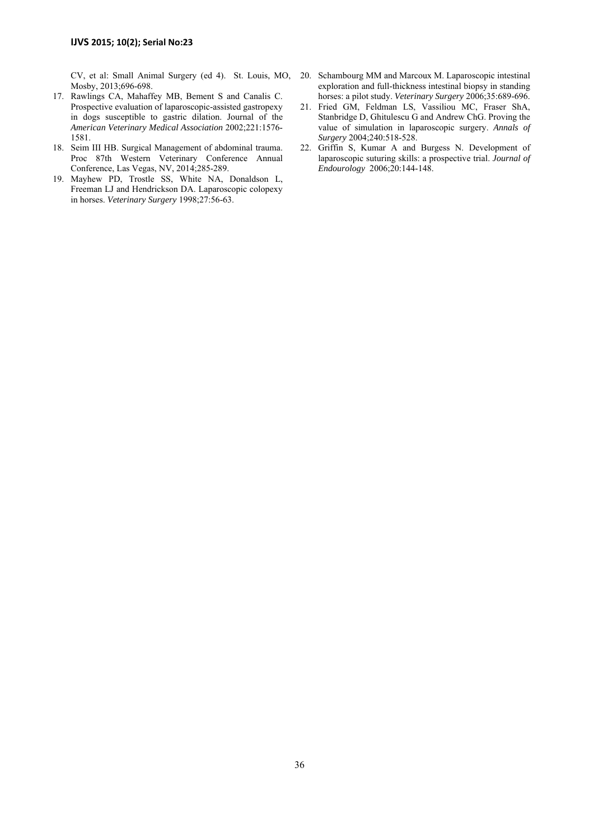CV, et al: Small Animal Surgery (ed 4). St. Louis, MO, Mosby, 2013;696-698.

- 17. Rawlings CA, Mahaffey MB, Bement S and Canalis C. Prospective evaluation of laparoscopic-assisted gastropexy in dogs susceptible to gastric dilation. Journal of the *American Veterinary Medical Association* 2002;221:1576- 1581.
- 18. Seim III HB. Surgical Management of abdominal trauma. Proc 87th Western Veterinary Conference Annual Conference, Las Vegas, NV, 2014;285-289.
- 19. Mayhew PD, Trostle SS, White NA, Donaldson L, Freeman LJ and Hendrickson DA. Laparoscopic colopexy in horses. *Veterinary Surgery* 1998;27:56-63.
- 20. Schambourg MM and Marcoux M. Laparoscopic intestinal exploration and full-thickness intestinal biopsy in standing horses: a pilot study. *Veterinary Surgery* 2006;35:689-696.
- 21. Fried GM, Feldman LS, Vassiliou MC, Fraser ShA, Stanbridge D, Ghitulescu G and Andrew ChG. Proving the value of simulation in laparoscopic surgery. *Annals of Surgery* 2004;240:518-528.
- 22. Griffin S, Kumar A and Burgess N. Development of laparoscopic suturing skills: a prospective trial. *Journal of Endourology* 2006;20:144-148.